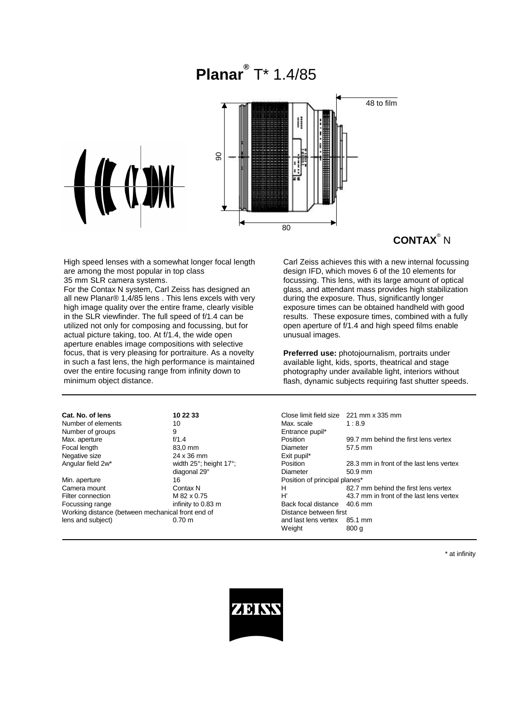



# **CONTAX**® N

High speed lenses with a somewhat longer focal length are among the most popular in top class

35 mm SLR camera systems.

For the Contax N system, Carl Zeiss has designed an all new Planar® 1,4/85 lens . This lens excels with very high image quality over the entire frame, clearly visible in the SLR viewfinder. The full speed of f/1.4 can be utilized not only for composing and focussing, but for actual picture taking, too. At f/1.4, the wide open aperture enables image compositions with selective focus, that is very pleasing for portraiture. As a novelty in such a fast lens, the high performance is maintained over the entire focusing range from infinity down to minimum object distance.

Carl Zeiss achieves this with a new internal focussing design IFD, which moves 6 of the 10 elements for focussing. This lens, with its large amount of optical glass, and attendant mass provides high stabilization during the exposure. Thus, significantly longer exposure times can be obtained handheld with good results. These exposure times, combined with a fully open aperture of f/1.4 and high speed films enable unusual images.

**Preferred use:** photojournalism, portraits under available light, kids, sports, theatrical and stage photography under available light, interiors without flash, dynamic subjects requiring fast shutter speeds.

| 99.7 mm behind the first lens vertex     |                                                       |
|------------------------------------------|-------------------------------------------------------|
| 57.5 mm                                  |                                                       |
|                                          | 28.3 mm in front of the last lens vertex<br>$50.9$ mm |
| Position of principal planes*            |                                                       |
| 82.7 mm behind the first lens vertex     |                                                       |
| 43.7 mm in front of the last lens vertex |                                                       |
| $40.6$ mm<br>Distance between first      |                                                       |
|                                          |                                                       |
|                                          |                                                       |
|                                          |                                                       |

\* at infinity